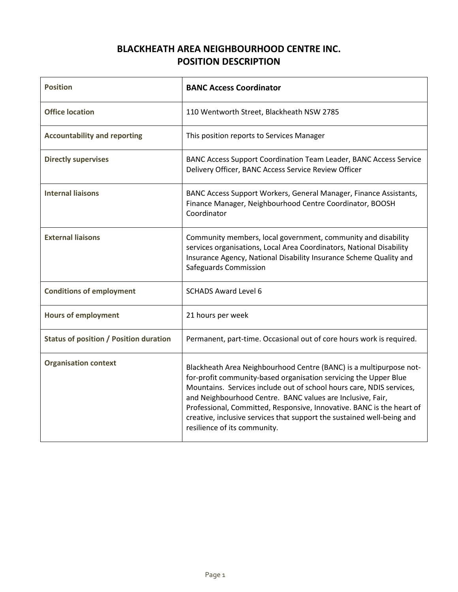## **BLACKHEATH AREA NEIGHBOURHOOD CENTRE INC. POSITION DESCRIPTION**

| <b>Position</b>                               | <b>BANC Access Coordinator</b>                                                                                                                                                                                                                                                                                                                                                                                                                                  |
|-----------------------------------------------|-----------------------------------------------------------------------------------------------------------------------------------------------------------------------------------------------------------------------------------------------------------------------------------------------------------------------------------------------------------------------------------------------------------------------------------------------------------------|
| <b>Office location</b>                        | 110 Wentworth Street, Blackheath NSW 2785                                                                                                                                                                                                                                                                                                                                                                                                                       |
| <b>Accountability and reporting</b>           | This position reports to Services Manager                                                                                                                                                                                                                                                                                                                                                                                                                       |
| <b>Directly supervises</b>                    | BANC Access Support Coordination Team Leader, BANC Access Service<br>Delivery Officer, BANC Access Service Review Officer                                                                                                                                                                                                                                                                                                                                       |
| <b>Internal liaisons</b>                      | BANC Access Support Workers, General Manager, Finance Assistants,<br>Finance Manager, Neighbourhood Centre Coordinator, BOOSH<br>Coordinator                                                                                                                                                                                                                                                                                                                    |
| <b>External liaisons</b>                      | Community members, local government, community and disability<br>services organisations, Local Area Coordinators, National Disability<br>Insurance Agency, National Disability Insurance Scheme Quality and<br>Safeguards Commission                                                                                                                                                                                                                            |
| <b>Conditions of employment</b>               | <b>SCHADS Award Level 6</b>                                                                                                                                                                                                                                                                                                                                                                                                                                     |
| <b>Hours of employment</b>                    | 21 hours per week                                                                                                                                                                                                                                                                                                                                                                                                                                               |
| <b>Status of position / Position duration</b> | Permanent, part-time. Occasional out of core hours work is required.                                                                                                                                                                                                                                                                                                                                                                                            |
| <b>Organisation context</b>                   | Blackheath Area Neighbourhood Centre (BANC) is a multipurpose not-<br>for-profit community-based organisation servicing the Upper Blue<br>Mountains. Services include out of school hours care, NDIS services,<br>and Neighbourhood Centre. BANC values are Inclusive, Fair,<br>Professional, Committed, Responsive, Innovative. BANC is the heart of<br>creative, inclusive services that support the sustained well-being and<br>resilience of its community. |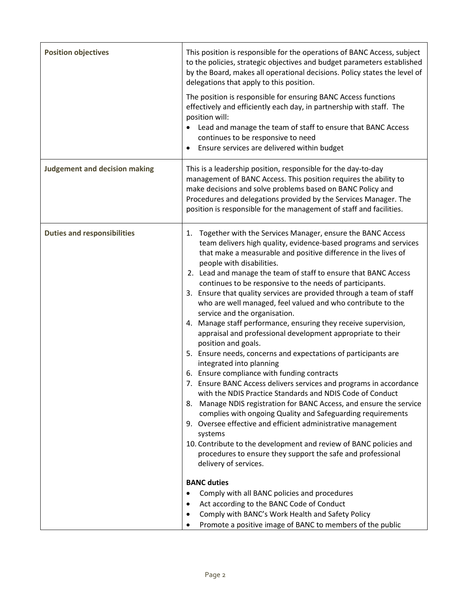| <b>Position objectives</b>           | This position is responsible for the operations of BANC Access, subject<br>to the policies, strategic objectives and budget parameters established<br>by the Board, makes all operational decisions. Policy states the level of<br>delegations that apply to this position.<br>The position is responsible for ensuring BANC Access functions<br>effectively and efficiently each day, in partnership with staff. The<br>position will:<br>Lead and manage the team of staff to ensure that BANC Access<br>continues to be responsive to need<br>Ensure services are delivered within budget                                                                                                                                                                                                                                                                                                                                                                                                                                                                                                                                                                                                                                                                                                                                                                                                                                                                                                                                                                            |
|--------------------------------------|-------------------------------------------------------------------------------------------------------------------------------------------------------------------------------------------------------------------------------------------------------------------------------------------------------------------------------------------------------------------------------------------------------------------------------------------------------------------------------------------------------------------------------------------------------------------------------------------------------------------------------------------------------------------------------------------------------------------------------------------------------------------------------------------------------------------------------------------------------------------------------------------------------------------------------------------------------------------------------------------------------------------------------------------------------------------------------------------------------------------------------------------------------------------------------------------------------------------------------------------------------------------------------------------------------------------------------------------------------------------------------------------------------------------------------------------------------------------------------------------------------------------------------------------------------------------------|
| <b>Judgement and decision making</b> | This is a leadership position, responsible for the day-to-day<br>management of BANC Access. This position requires the ability to<br>make decisions and solve problems based on BANC Policy and<br>Procedures and delegations provided by the Services Manager. The<br>position is responsible for the management of staff and facilities.                                                                                                                                                                                                                                                                                                                                                                                                                                                                                                                                                                                                                                                                                                                                                                                                                                                                                                                                                                                                                                                                                                                                                                                                                              |
| <b>Duties and responsibilities</b>   | Together with the Services Manager, ensure the BANC Access<br>1.<br>team delivers high quality, evidence-based programs and services<br>that make a measurable and positive difference in the lives of<br>people with disabilities.<br>2. Lead and manage the team of staff to ensure that BANC Access<br>continues to be responsive to the needs of participants.<br>3. Ensure that quality services are provided through a team of staff<br>who are well managed, feel valued and who contribute to the<br>service and the organisation.<br>4. Manage staff performance, ensuring they receive supervision,<br>appraisal and professional development appropriate to their<br>position and goals.<br>5. Ensure needs, concerns and expectations of participants are<br>integrated into planning<br>6. Ensure compliance with funding contracts<br>7. Ensure BANC Access delivers services and programs in accordance<br>with the NDIS Practice Standards and NDIS Code of Conduct<br>8. Manage NDIS registration for BANC Access, and ensure the service<br>complies with ongoing Quality and Safeguarding requirements<br>9. Oversee effective and efficient administrative management<br>systems<br>10. Contribute to the development and review of BANC policies and<br>procedures to ensure they support the safe and professional<br>delivery of services.<br><b>BANC duties</b><br>Comply with all BANC policies and procedures<br>$\bullet$<br>Act according to the BANC Code of Conduct<br>٠<br>Comply with BANC's Work Health and Safety Policy<br>$\bullet$ |
|                                      | Promote a positive image of BANC to members of the public<br>$\bullet$                                                                                                                                                                                                                                                                                                                                                                                                                                                                                                                                                                                                                                                                                                                                                                                                                                                                                                                                                                                                                                                                                                                                                                                                                                                                                                                                                                                                                                                                                                  |